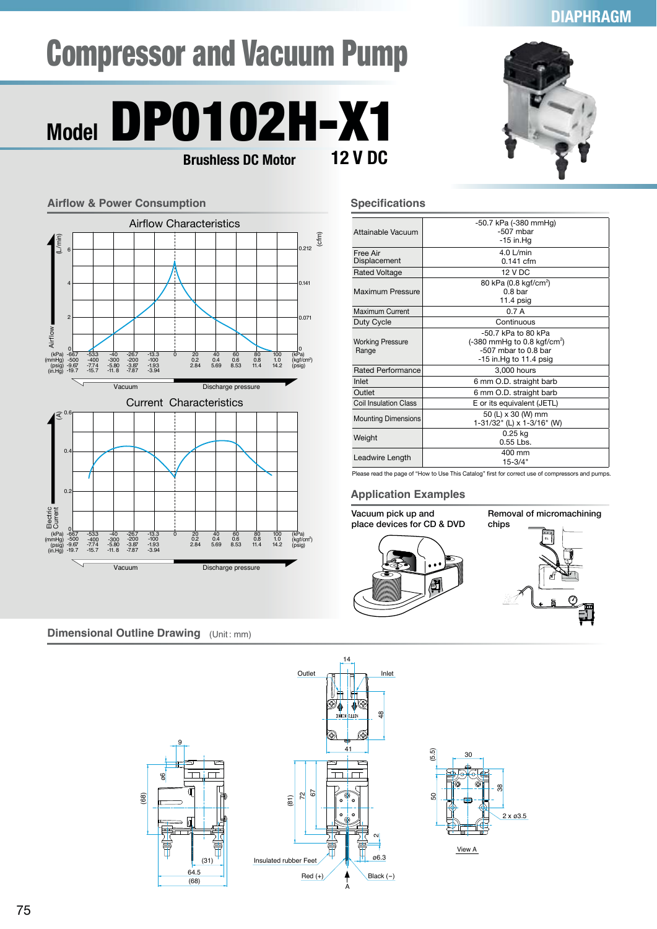### **DIAPHRAGM**

# Compressor and Vacuum Pump



**Airflow & Power Consumption**

Airflow

(kPa) (mmHg) (psig) (in.Hg)

(A)

 $\overline{0}$ 

-66.7 -500 -9.67 -19.7

-53.3 -400 -7.74 -15.7 -40 -300 -5.80 -11. 8 -26.7 -200 -3.87 -7.87 -13.3 -100 -1.93 -3.94

Electric<br>Electric<br>(psig)<br>(in.Hg)

0

-66.7 -500 -9.67 -19.7

-53.3 -400 -7.74 -15.7 -40 -300 -5.80 -11. 8 -26.7 -200 -3.87 -7.87 -13.3 -100 -1.93 -3.94

 $\Omega$ 

 $\overline{0}$ .

 $L/mi$ 

4

2



#### **Specifications**

 $(c<sub>fm</sub>)$ 

(kPa)<br>(kgf/cm<sup>2</sup>)<br>(psig)

0.071

0.141

(kPa)<br>(kgf/cm<sup>2</sup><br>(psig)

| -50.7 kPa (-380 mmHg)<br>-507 mbar             |
|------------------------------------------------|
| -15 in.Ha                                      |
| $4.0$ L/min                                    |
| $0.141$ cfm                                    |
| <b>12 V DC</b>                                 |
| 80 kPa (0.8 kgf/cm <sup>2</sup> )              |
| 0.8 <sub>bar</sub>                             |
| $11.4$ psig                                    |
| 0.7A                                           |
| Continuous                                     |
| $-50.7$ kPa to 80 kPa                          |
| $(-380 \text{ mmHg to } 0.8 \text{ kgf/cm}^2)$ |
| $-507$ mbar to 0.8 bar                         |
| $-15$ in Hg to 11.4 psig                       |
| 3,000 hours                                    |
| 6 mm O.D. straight barb                        |
| 6 mm O.D. straight barb                        |
| E or its equivalent (JETL)                     |
| 50 (L) x 30 (W) mm                             |
| 1-31/32" (L) x 1-3/16" (W)                     |
| 0.25 kg                                        |
| $0.55$ Lbs.                                    |
| 400 mm                                         |
| $15 - 3/4"$                                    |
|                                                |

Please read the page of "How to Use This Catalog" first for correct use of compressors and pumps.

#### **Application Examples**



**Dimensional Outline Drawing** (Unit: mm)



Current Characteristics

Vacuum Discharge pressure

0 20<br>0.2<br>2.84

40 0.4 5.69 60 0.6 8.53 80 0.8 11.4 100 1.0 14.2

Vacuum Discharge pressure

0 20<br>0.2<br>2.84

0 X <u>I J J J J J J J J D</u> 0

40 0.4 5.69 60 0.6 8.53 80 0.8 11.4 100 1.0 14.2

Airflow Characteristics

6 0.212